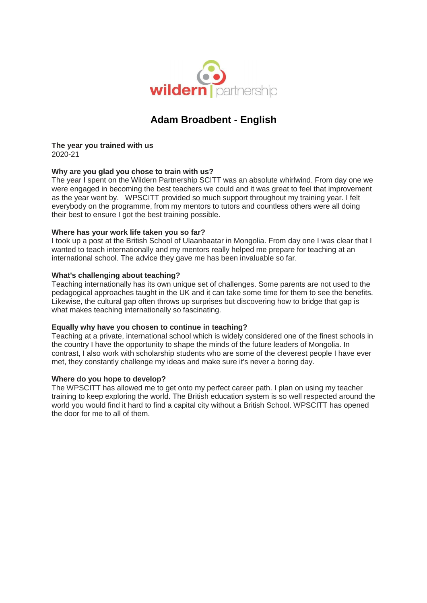

# **Adam Broadbent - English**

**The year you trained with us** 2020-21

## **Why are you glad you chose to train with us?**

The year I spent on the Wildern Partnership SCITT was an absolute whirlwind. From day one we were engaged in becoming the best teachers we could and it was great to feel that improvement as the year went by. WPSCITT provided so much support throughout my training year. I felt everybody on the programme, from my mentors to tutors and countless others were all doing their best to ensure I got the best training possible.

## **Where has your work life taken you so far?**

I took up a post at the British School of Ulaanbaatar in Mongolia. From day one I was clear that I wanted to teach internationally and my mentors really helped me prepare for teaching at an international school. The advice they gave me has been invaluable so far.

#### **What's challenging about teaching?**

Teaching internationally has its own unique set of challenges. Some parents are not used to the pedagogical approaches taught in the UK and it can take some time for them to see the benefits. Likewise, the cultural gap often throws up surprises but discovering how to bridge that gap is what makes teaching internationally so fascinating.

## **Equally why have you chosen to continue in teaching?**

Teaching at a private, international school which is widely considered one of the finest schools in the country I have the opportunity to shape the minds of the future leaders of Mongolia. In contrast, I also work with scholarship students who are some of the cleverest people I have ever met, they constantly challenge my ideas and make sure it's never a boring day.

## **Where do you hope to develop?**

The WPSCITT has allowed me to get onto my perfect career path. I plan on using my teacher training to keep exploring the world. The British education system is so well respected around the world you would find it hard to find a capital city without a British School. WPSCITT has opened the door for me to all of them.